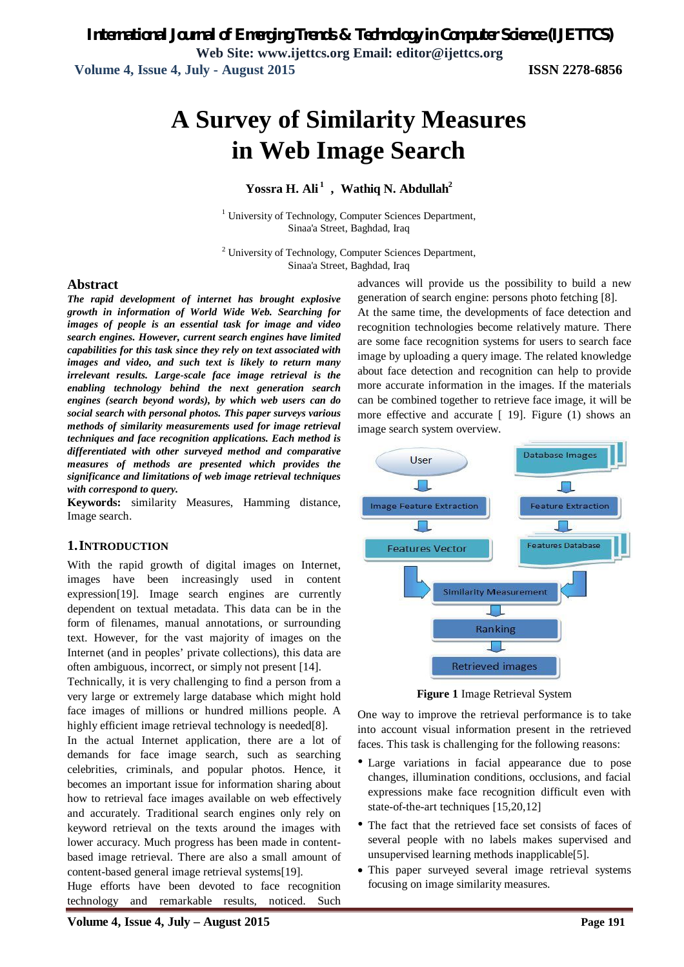**Web Site: www.ijettcs.org Email: editor@ijettcs.org Volume 4, Issue 4, July - August 2015 ISSN 2278-6856**

# **A Survey of Similarity Measures in Web Image Search**

### **Yossra H. Ali <sup>1</sup> , Wathiq N. Abdullah<sup>2</sup>**

<sup>1</sup> University of Technology, Computer Sciences Department, Sinaa'a Street, Baghdad, Iraq

<sup>2</sup> University of Technology, Computer Sciences Department, Sinaa'a Street, Baghdad, Iraq

#### **Abstract**

*The rapid development of internet has brought explosive growth in information of World Wide Web. Searching for images of people is an essential task for image and video search engines. However, current search engines have limited capabilities for this task since they rely on text associated with images and video, and such text is likely to return many irrelevant results. Large-scale face image retrieval is the enabling technology behind the next generation search engines (search beyond words), by which web users can do social search with personal photos. This paper surveys various methods of similarity measurements used for image retrieval techniques and face recognition applications. Each method is differentiated with other surveyed method and comparative measures of methods are presented which provides the significance and limitations of web image retrieval techniques with correspond to query.*

**Keywords:** similarity Measures, Hamming distance, Image search.

#### **1.INTRODUCTION**

With the rapid growth of digital images on Internet, images have been increasingly used in content expression[19]. Image search engines are currently dependent on textual metadata. This data can be in the form of filenames, manual annotations, or surrounding text. However, for the vast majority of images on the Internet (and in peoples' private collections), this data are often ambiguous, incorrect, or simply not present [14].

Technically, it is very challenging to find a person from a very large or extremely large database which might hold face images of millions or hundred millions people. A highly efficient image retrieval technology is needed[8].

In the actual Internet application, there are a lot of demands for face image search, such as searching celebrities, criminals, and popular photos. Hence, it becomes an important issue for information sharing about how to retrieval face images available on web effectively and accurately. Traditional search engines only rely on keyword retrieval on the texts around the images with lower accuracy. Much progress has been made in contentbased image retrieval. There are also a small amount of content-based general image retrieval systems[19].

Huge efforts have been devoted to face recognition technology and remarkable results, noticed. Such

advances will provide us the possibility to build a new generation of search engine: persons photo fetching [8]. At the same time, the developments of face detection and recognition technologies become relatively mature. There are some face recognition systems for users to search face image by uploading a query image. The related knowledge about face detection and recognition can help to provide more accurate information in the images. If the materials can be combined together to retrieve face image, it will be more effective and accurate [ 19]. Figure (1) shows an image search system overview.



**Figure 1** Image Retrieval System

One way to improve the retrieval performance is to take into account visual information present in the retrieved faces. This task is challenging for the following reasons:

- Large variations in facial appearance due to pose changes, illumination conditions, occlusions, and facial expressions make face recognition difficult even with state-of-the-art techniques [15,20,12]
- The fact that the retrieved face set consists of faces of several people with no labels makes supervised and unsupervised learning methods inapplicable[5].
- This paper surveyed several image retrieval systems focusing on image similarity measures.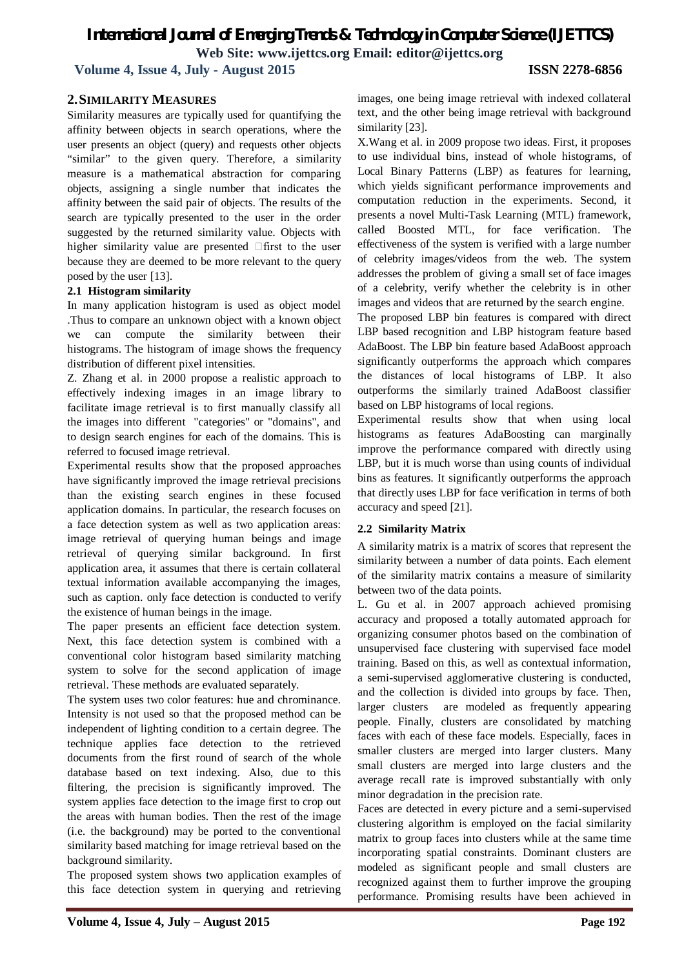**Volume 4, Issue 4, July - August 2015 ISSN 2278-6856**

#### **2.SIMILARITY MEASURES**

Similarity measures are typically used for quantifying the affinity between objects in search operations, where the user presents an object (query) and requests other objects "similar" to the given query. Therefore, a similarity measure is a mathematical abstraction for comparing objects, assigning a single number that indicates the affinity between the said pair of objects. The results of the search are typically presented to the user in the order suggested by the returned similarity value. Objects with higher similarity value are presented  $\Box$  first to the user because they are deemed to be more relevant to the query posed by the user [13].

#### **2.1 Histogram similarity**

In many application histogram is used as object model .Thus to compare an unknown object with a known object we can compute the similarity between their histograms. The histogram of image shows the frequency distribution of different pixel intensities.

Z. Zhang et al. in 2000 propose a realistic approach to effectively indexing images in an image library to facilitate image retrieval is to first manually classify all the images into different "categories" or "domains", and to design search engines for each of the domains. This is referred to focused image retrieval.

Experimental results show that the proposed approaches have significantly improved the image retrieval precisions than the existing search engines in these focused application domains. In particular, the research focuses on a face detection system as well as two application areas: image retrieval of querying human beings and image retrieval of querying similar background. In first application area, it assumes that there is certain collateral textual information available accompanying the images, such as caption. only face detection is conducted to verify the existence of human beings in the image.

The paper presents an efficient face detection system. Next, this face detection system is combined with a conventional color histogram based similarity matching system to solve for the second application of image retrieval. These methods are evaluated separately.

The system uses two color features: hue and chrominance. Intensity is not used so that the proposed method can be independent of lighting condition to a certain degree. The technique applies face detection to the retrieved documents from the first round of search of the whole database based on text indexing. Also, due to this filtering, the precision is significantly improved. The system applies face detection to the image first to crop out the areas with human bodies. Then the rest of the image (i.e. the background) may be ported to the conventional similarity based matching for image retrieval based on the background similarity.

The proposed system shows two application examples of this face detection system in querying and retrieving

images, one being image retrieval with indexed collateral text, and the other being image retrieval with background similarity [23].

X.Wang et al. in 2009 propose two ideas. First, it proposes to use individual bins, instead of whole histograms, of Local Binary Patterns (LBP) as features for learning, which yields significant performance improvements and computation reduction in the experiments. Second, it presents a novel Multi-Task Learning (MTL) framework, called Boosted MTL, for face verification. The effectiveness of the system is verified with a large number of celebrity images/videos from the web. The system addresses the problem of giving a small set of face images of a celebrity, verify whether the celebrity is in other images and videos that are returned by the search engine.

The proposed LBP bin features is compared with direct LBP based recognition and LBP histogram feature based AdaBoost. The LBP bin feature based AdaBoost approach significantly outperforms the approach which compares the distances of local histograms of LBP. It also outperforms the similarly trained AdaBoost classifier based on LBP histograms of local regions.

Experimental results show that when using local histograms as features AdaBoosting can marginally improve the performance compared with directly using LBP, but it is much worse than using counts of individual bins as features. It significantly outperforms the approach that directly uses LBP for face verification in terms of both accuracy and speed [21].

#### **2.2 Similarity Matrix**

A similarity matrix is a matrix of scores that represent the similarity between a number of data points. Each element of the similarity matrix contains a measure of similarity between two of the data points.

L. Gu et al. in 2007 approach achieved promising accuracy and proposed a totally automated approach for organizing consumer photos based on the combination of unsupervised face clustering with supervised face model training. Based on this, as well as contextual information, a semi-supervised agglomerative clustering is conducted, and the collection is divided into groups by face. Then, larger clusters are modeled as frequently appearing people. Finally, clusters are consolidated by matching faces with each of these face models. Especially, faces in smaller clusters are merged into larger clusters. Many small clusters are merged into large clusters and the average recall rate is improved substantially with only minor degradation in the precision rate.

Faces are detected in every picture and a semi-supervised clustering algorithm is employed on the facial similarity matrix to group faces into clusters while at the same time incorporating spatial constraints. Dominant clusters are modeled as significant people and small clusters are recognized against them to further improve the grouping performance. Promising results have been achieved in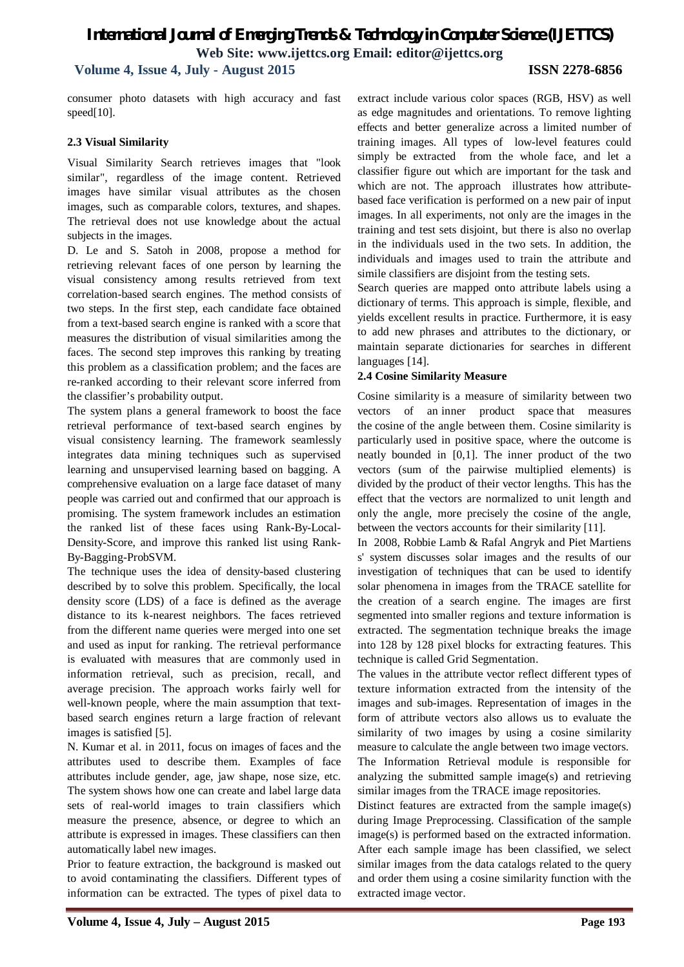### **Volume 4, Issue 4, July - August 2015 ISSN 2278-6856**

consumer photo datasets with high accuracy and fast speed[10].

#### **2.3 Visual Similarity**

Visual Similarity Search retrieves images that "look similar", regardless of the image content. Retrieved images have similar visual attributes as the chosen images, such as comparable colors, textures, and shapes. The retrieval does not use knowledge about the actual subjects in the images.

D. Le and S. Satoh in 2008, propose a method for retrieving relevant faces of one person by learning the visual consistency among results retrieved from text correlation-based search engines. The method consists of two steps. In the first step, each candidate face obtained from a text-based search engine is ranked with a score that measures the distribution of visual similarities among the faces. The second step improves this ranking by treating this problem as a classification problem; and the faces are re-ranked according to their relevant score inferred from the classifier's probability output.

The system plans a general framework to boost the face retrieval performance of text-based search engines by visual consistency learning. The framework seamlessly integrates data mining techniques such as supervised learning and unsupervised learning based on bagging. A comprehensive evaluation on a large face dataset of many people was carried out and confirmed that our approach is promising. The system framework includes an estimation the ranked list of these faces using Rank-By-Local-Density-Score, and improve this ranked list using Rank-By-Bagging-ProbSVM.

The technique uses the idea of density-based clustering described by to solve this problem. Specifically, the local density score (LDS) of a face is defined as the average distance to its k-nearest neighbors. The faces retrieved from the different name queries were merged into one set and used as input for ranking. The retrieval performance is evaluated with measures that are commonly used in information retrieval, such as precision, recall, and average precision. The approach works fairly well for well-known people, where the main assumption that textbased search engines return a large fraction of relevant images is satisfied [5].

N. Kumar et al. in 2011, focus on images of faces and the attributes used to describe them. Examples of face attributes include gender, age, jaw shape, nose size, etc. The system shows how one can create and label large data sets of real-world images to train classifiers which measure the presence, absence, or degree to which an attribute is expressed in images. These classifiers can then automatically label new images.

Prior to feature extraction, the background is masked out to avoid contaminating the classifiers. Different types of information can be extracted. The types of pixel data to extract include various color spaces (RGB, HSV) as well as edge magnitudes and orientations. To remove lighting effects and better generalize across a limited number of training images. All types of low-level features could simply be extracted from the whole face, and let a classifier figure out which are important for the task and which are not. The approach illustrates how attributebased face verification is performed on a new pair of input images. In all experiments, not only are the images in the training and test sets disjoint, but there is also no overlap in the individuals used in the two sets. In addition, the individuals and images used to train the attribute and simile classifiers are disjoint from the testing sets.

Search queries are mapped onto attribute labels using a dictionary of terms. This approach is simple, flexible, and yields excellent results in practice. Furthermore, it is easy to add new phrases and attributes to the dictionary, or maintain separate dictionaries for searches in different languages [14].

#### **2.4 Cosine Similarity Measure**

Cosine similarity is a measure of similarity between two vectors of an inner product space that measures the cosine of the angle between them. Cosine similarity is particularly used in positive space, where the outcome is neatly bounded in [0,1]. The inner product of the two vectors (sum of the pairwise multiplied elements) is divided by the product of their vector lengths. This has the effect that the vectors are normalized to unit length and only the angle, more precisely the cosine of the angle, between the vectors accounts for their similarity [11].

In 2008, Robbie Lamb & Rafal Angryk and Piet Martiens s' system discusses solar images and the results of our investigation of techniques that can be used to identify solar phenomena in images from the TRACE satellite for the creation of a search engine. The images are first segmented into smaller regions and texture information is extracted. The segmentation technique breaks the image into 128 by 128 pixel blocks for extracting features. This technique is called Grid Segmentation.

The values in the attribute vector reflect different types of texture information extracted from the intensity of the images and sub-images. Representation of images in the form of attribute vectors also allows us to evaluate the similarity of two images by using a cosine similarity measure to calculate the angle between two image vectors. The Information Retrieval module is responsible for analyzing the submitted sample image(s) and retrieving similar images from the TRACE image repositories.

Distinct features are extracted from the sample image(s) during Image Preprocessing. Classification of the sample image(s) is performed based on the extracted information. After each sample image has been classified, we select similar images from the data catalogs related to the query and order them using a cosine similarity function with the extracted image vector.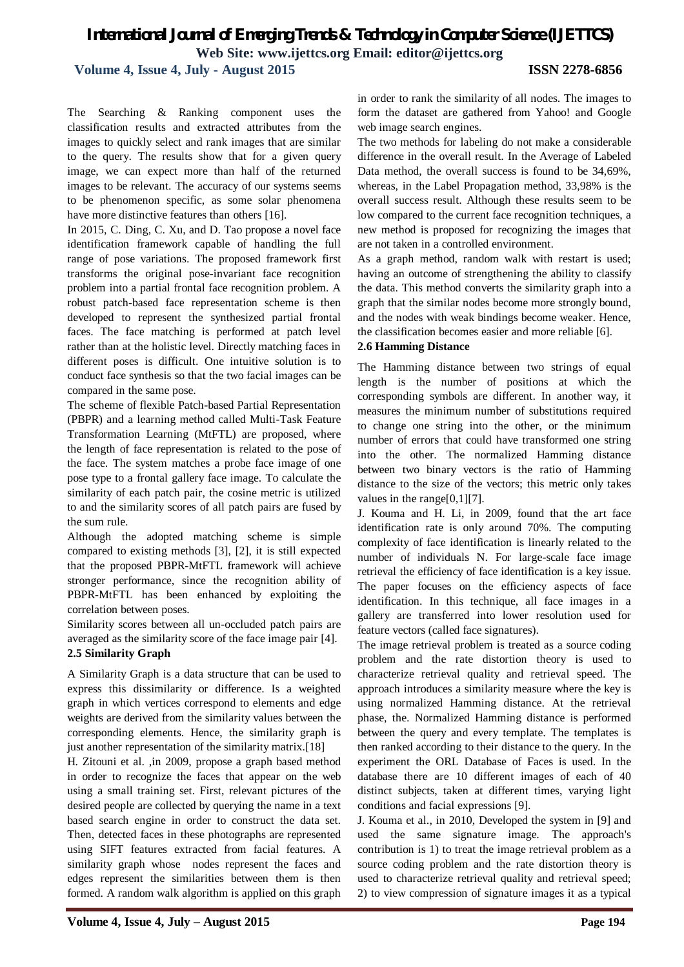**Volume 4, Issue 4, July - August 2015 ISSN 2278-6856**

The Searching & Ranking component uses the classification results and extracted attributes from the images to quickly select and rank images that are similar to the query. The results show that for a given query image, we can expect more than half of the returned images to be relevant. The accuracy of our systems seems to be phenomenon specific, as some solar phenomena have more distinctive features than others [16].

In 2015, C. Ding, C. Xu, and D. Tao propose a novel face identification framework capable of handling the full range of pose variations. The proposed framework first transforms the original pose-invariant face recognition problem into a partial frontal face recognition problem. A robust patch-based face representation scheme is then developed to represent the synthesized partial frontal faces. The face matching is performed at patch level rather than at the holistic level. Directly matching faces in different poses is difficult. One intuitive solution is to conduct face synthesis so that the two facial images can be compared in the same pose.

The scheme of flexible Patch-based Partial Representation (PBPR) and a learning method called Multi-Task Feature Transformation Learning (MtFTL) are proposed, where the length of face representation is related to the pose of the face. The system matches a probe face image of one pose type to a frontal gallery face image. To calculate the similarity of each patch pair, the cosine metric is utilized to and the similarity scores of all patch pairs are fused by the sum rule.

Although the adopted matching scheme is simple compared to existing methods [3], [2], it is still expected that the proposed PBPR-MtFTL framework will achieve stronger performance, since the recognition ability of PBPR-MtFTL has been enhanced by exploiting the correlation between poses.

Similarity scores between all un-occluded patch pairs are averaged as the similarity score of the face image pair [4].

#### **2.5 Similarity Graph**

A Similarity Graph is a data structure that can be used to express this dissimilarity or difference. Is a weighted graph in which vertices correspond to elements and edge weights are derived from the similarity values between the corresponding elements. Hence, the similarity graph is just another representation of the similarity matrix.[18]

H. Zitouni et al. ,in 2009, propose a graph based method in order to recognize the faces that appear on the web using a small training set. First, relevant pictures of the desired people are collected by querying the name in a text based search engine in order to construct the data set. Then, detected faces in these photographs are represented using SIFT features extracted from facial features. A similarity graph whose nodes represent the faces and edges represent the similarities between them is then formed. A random walk algorithm is applied on this graph in order to rank the similarity of all nodes. The images to form the dataset are gathered from Yahoo! and Google web image search engines.

The two methods for labeling do not make a considerable difference in the overall result. In the Average of Labeled Data method, the overall success is found to be 34,69%, whereas, in the Label Propagation method, 33,98% is the overall success result. Although these results seem to be low compared to the current face recognition techniques, a new method is proposed for recognizing the images that are not taken in a controlled environment.

As a graph method, random walk with restart is used; having an outcome of strengthening the ability to classify the data. This method converts the similarity graph into a graph that the similar nodes become more strongly bound, and the nodes with weak bindings become weaker. Hence, the classification becomes easier and more reliable [6].

#### **2.6 Hamming Distance**

The Hamming distance between two strings of equal length is the number of positions at which the corresponding symbols are different. In another way, it measures the minimum number of substitutions required to change one string into the other, or the minimum number of errors that could have transformed one string into the other. The normalized Hamming distance between two binary vectors is the ratio of Hamming distance to the size of the vectors; this metric only takes values in the range[0,1][7].

J. Kouma and H. Li, in 2009, found that the art face identification rate is only around 70%. The computing complexity of face identification is linearly related to the number of individuals N. For large-scale face image retrieval the efficiency of face identification is a key issue. The paper focuses on the efficiency aspects of face identification. In this technique, all face images in a gallery are transferred into lower resolution used for feature vectors (called face signatures).

The image retrieval problem is treated as a source coding problem and the rate distortion theory is used to characterize retrieval quality and retrieval speed. The approach introduces a similarity measure where the key is using normalized Hamming distance. At the retrieval phase, the. Normalized Hamming distance is performed between the query and every template. The templates is then ranked according to their distance to the query. In the experiment the ORL Database of Faces is used. In the database there are 10 different images of each of 40 distinct subjects, taken at different times, varying light conditions and facial expressions [9].

J. Kouma et al., in 2010, Developed the system in [9] and used the same signature image. The approach's contribution is 1) to treat the image retrieval problem as a source coding problem and the rate distortion theory is used to characterize retrieval quality and retrieval speed; 2) to view compression of signature images it as a typical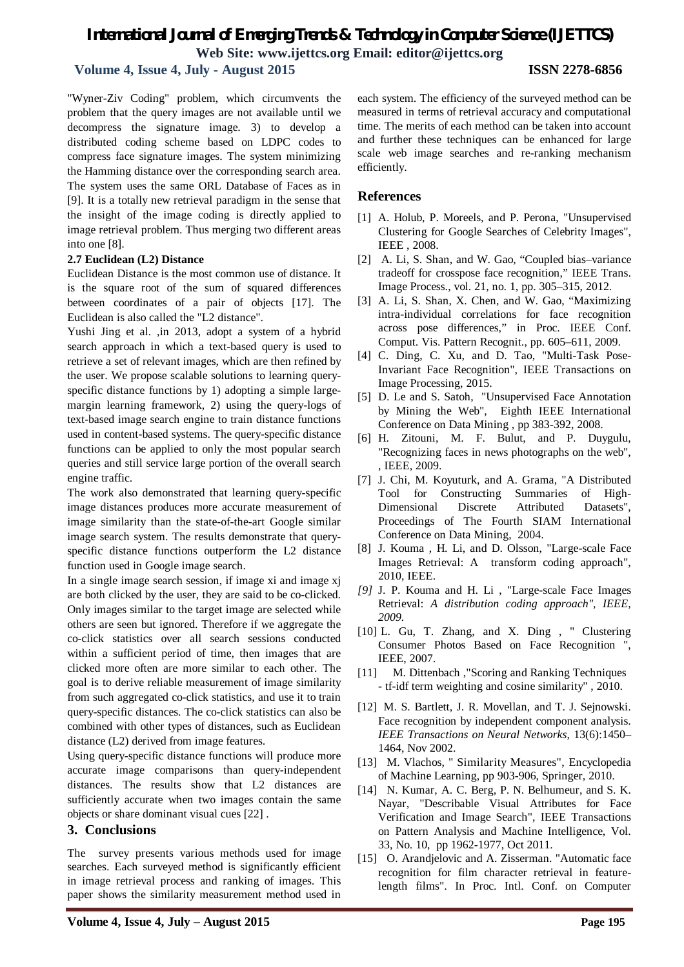### **Volume 4, Issue 4, July - August 2015 ISSN 2278-6856**

"Wyner-Ziv Coding" problem, which circumvents the problem that the query images are not available until we decompress the signature image. 3) to develop a distributed coding scheme based on LDPC codes to compress face signature images. The system minimizing the Hamming distance over the corresponding search area. The system uses the same ORL Database of Faces as in [9]. It is a totally new retrieval paradigm in the sense that the insight of the image coding is directly applied to image retrieval problem. Thus merging two different areas into one [8].

#### **2.7 Euclidean (L2) Distance**

Euclidean Distance is the most common use of distance. It is the square root of the sum of squared differences between coordinates of a pair of objects [17]. The Euclidean is also called the "L2 distance".

Yushi Jing et al. ,in 2013, adopt a system of a hybrid search approach in which a text-based query is used to retrieve a set of relevant images, which are then refined by the user. We propose scalable solutions to learning queryspecific distance functions by 1) adopting a simple largemargin learning framework, 2) using the query-logs of text-based image search engine to train distance functions used in content-based systems. The query-specific distance functions can be applied to only the most popular search queries and still service large portion of the overall search engine traffic.

The work also demonstrated that learning query-specific image distances produces more accurate measurement of image similarity than the state-of-the-art Google similar image search system. The results demonstrate that queryspecific distance functions outperform the L2 distance function used in Google image search.

In a single image search session, if image xi and image xj are both clicked by the user, they are said to be co-clicked. Only images similar to the target image are selected while others are seen but ignored. Therefore if we aggregate the co-click statistics over all search sessions conducted within a sufficient period of time, then images that are clicked more often are more similar to each other. The goal is to derive reliable measurement of image similarity from such aggregated co-click statistics, and use it to train query-specific distances. The co-click statistics can also be combined with other types of distances, such as Euclidean distance (L2) derived from image features.

Using query-specific distance functions will produce more accurate image comparisons than query-independent distances. The results show that L2 distances are sufficiently accurate when two images contain the same objects or share dominant visual cues [22] .

#### **3. Conclusions**

The survey presents various methods used for image searches. Each surveyed method is significantly efficient in image retrieval process and ranking of images. This paper shows the similarity measurement method used in

each system. The efficiency of the surveyed method can be measured in terms of retrieval accuracy and computational time. The merits of each method can be taken into account and further these techniques can be enhanced for large scale web image searches and re-ranking mechanism efficiently.

#### **References**

- [1] A. Holub, P. Moreels, and P. Perona, "Unsupervised Clustering for Google Searches of Celebrity Images", IEEE , 2008.
- [2] A. Li, S. Shan, and W. Gao, "Coupled bias–variance" tradeoff for crosspose face recognition," IEEE Trans. Image Process., vol. 21, no. 1, pp. 305–315, 2012.
- [3] A. Li, S. Shan, X. Chen, and W. Gao, "Maximizing" intra-individual correlations for face recognition across pose differences," in Proc. IEEE Conf. Comput. Vis. Pattern Recognit., pp. 605–611, 2009.
- [4] C. Ding, C. Xu, and D. Tao, "Multi-Task Pose-Invariant Face Recognition", IEEE Transactions on Image Processing, 2015.
- [5] D. Le and S. Satoh, "Unsupervised Face Annotation by Mining the Web", Eighth IEEE International Conference on Data Mining , pp 383-392, 2008.
- [6] H. Zitouni, M. F. Bulut, and P. Duygulu, "Recognizing faces in news photographs on the web", , IEEE, 2009.
- [7] J. Chi, M. Koyuturk, and A. Grama, "A Distributed Tool for Constructing Summaries of High-Dimensional Discrete Attributed Datasets", Proceedings of The Fourth SIAM International Conference on Data Mining, 2004.
- [8] J. Kouma , H. Li, and D. Olsson, "Large-scale Face Images Retrieval: A transform coding approach", 2010, IEEE.
- *[9]* J. P. Kouma and H. Li , "Large-scale Face Images Retrieval: *A distribution coding approach", IEEE, 2009.*
- [10] L. Gu, T. Zhang, and X. Ding , " Clustering Consumer Photos Based on Face Recognition ", IEEE, 2007.
- [11] M. Dittenbach ,"Scoring and Ranking Techniques - tf-idf term weighting and cosine similarity" , 2010.
- [12] M. S. Bartlett, J. R. Movellan, and T. J. Sejnowski. Face recognition by independent component analysis. *IEEE Transactions on Neural Networks*, 13(6):1450– 1464, Nov 2002.
- [13] M. Vlachos, " Similarity Measures", Encyclopedia of Machine Learning, pp 903-906, Springer, 2010.
- [14] N. Kumar, A. C. Berg, P. N. Belhumeur, and S. K. Nayar, "Describable Visual Attributes for Face Verification and Image Search", IEEE Transactions on Pattern Analysis and Machine Intelligence, Vol. 33, No. 10, pp 1962-1977, Oct 2011.
- [15] O. Arandjelovic and A. Zisserman. "Automatic face recognition for film character retrieval in featurelength films". In Proc. Intl. Conf. on Computer